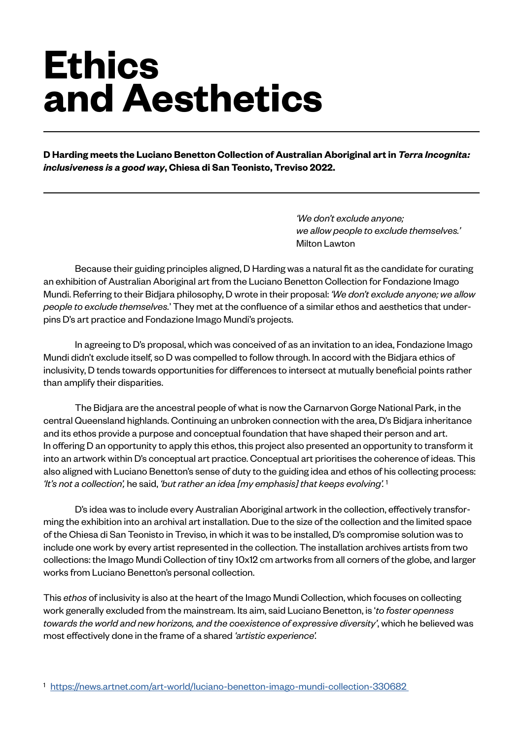## **Ethics and Aesthetics**

**D Harding meets the Luciano Benetton Collection of Australian Aboriginal art in** *Terra Incognita: inclusiveness is a good way***, Chiesa di San Teonisto, Treviso 2022.**

> *'We don't exclude anyone; we allow people to exclude themselves.'*  Milton Lawton

Because their guiding principles aligned, D Harding was a natural fit as the candidate for curating an exhibition of Australian Aboriginal art from the Luciano Benetton Collection for Fondazione Imago Mundi. Referring to their Bidjara philosophy, D wrote in their proposal: *'We don't exclude anyone; we allow people to exclude themselves.*' They met at the confluence of a similar ethos and aesthetics that underpins D's art practice and Fondazione Imago Mundi's projects.

In agreeing to D's proposal, which was conceived of as an invitation to an idea, Fondazione Imago Mundi didn't exclude itself, so D was compelled to follow through. In accord with the Bidjara ethics of inclusivity, D tends towards opportunities for differences to intersect at mutually beneficial points rather than amplify their disparities.

The Bidjara are the ancestral people of what is now the Carnarvon Gorge National Park, in the central Queensland highlands. Continuing an unbroken connection with the area, D's Bidjara inheritance and its ethos provide a purpose and conceptual foundation that have shaped their person and art. In offering D an opportunity to apply this ethos, this project also presented an opportunity to transform it into an artwork within D's conceptual art practice. Conceptual art prioritises the coherence of ideas. This also aligned with Luciano Benetton's sense of duty to the guiding idea and ethos of his collecting process: *'It's not a collection',* he said, *'but rather an idea [my emphasis] that keeps evolving'.* <sup>1</sup>

D's idea was to include every Australian Aboriginal artwork in the collection, effectively transforming the exhibition into an archival art installation. Due to the size of the collection and the limited space of the Chiesa di San Teonisto in Treviso, in which it was to be installed, D's compromise solution was to include one work by every artist represented in the collection. The installation archives artists from two collections: the Imago Mundi Collection of tiny 10x12 cm artworks from all corners of the globe, and larger works from Luciano Benetton's personal collection.

This *ethos* of inclusivity is also at the heart of the Imago Mundi Collection, which focuses on collecting work generally excluded from the mainstream. Its aim, said Luciano Benetton, is '*to foster openness towards the world and new horizons, and the coexistence of expressive diversity'*, which he believed was most effectively done in the frame of a shared *'artistic experience'.*

<sup>1</sup> <https://news.artnet.com/art-world/luciano-benetton-imago-mundi-collection-330682>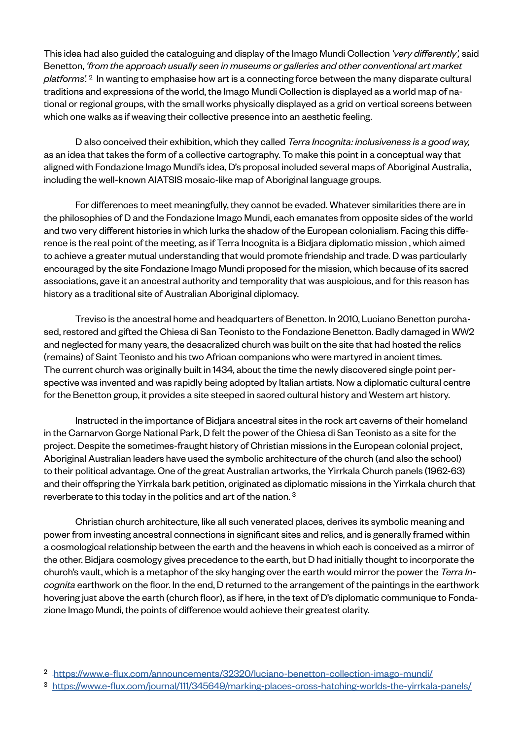This idea had also guided the cataloguing and display of the Imago Mundi Collection *'very differently',* said Benetton, *'from the approach usually seen in museums or galleries and other conventional art market platforms'.* 2 In wanting to emphasise how art is a connecting force between the many disparate cultural traditions and expressions of the world, the Imago Mundi Collection is displayed as a world map of national or regional groups, with the small works physically displayed as a grid on vertical screens between which one walks as if weaving their collective presence into an aesthetic feeling.

D also conceived their exhibition, which they called *Terra Incognita: inclusiveness is a good way,*  as an idea that takes the form of a collective cartography. To make this point in a conceptual way that aligned with Fondazione Imago Mundi's idea, D's proposal included several maps of Aboriginal Australia, including the well-known AIATSIS mosaic-like map of Aboriginal language groups.

For differences to meet meaningfully, they cannot be evaded. Whatever similarities there are in the philosophies of D and the Fondazione Imago Mundi, each emanates from opposite sides of the world and two very different histories in which lurks the shadow of the European colonialism. Facing this difference is the real point of the meeting, as if Terra Incognita is a Bidjara diplomatic mission , which aimed to achieve a greater mutual understanding that would promote friendship and trade. D was particularly encouraged by the site Fondazione Imago Mundi proposed for the mission, which because of its sacred associations, gave it an ancestral authority and temporality that was auspicious, and for this reason has history as a traditional site of Australian Aboriginal diplomacy.

Treviso is the ancestral home and headquarters of Benetton. In 2010, Luciano Benetton purchased, restored and gifted the Chiesa di San Teonisto to the Fondazione Benetton. Badly damaged in WW2 and neglected for many years, the desacralized church was built on the site that had hosted the relics (remains) of Saint Teonisto and his two African companions who were martyred in ancient times. The current church was originally built in 1434, about the time the newly discovered single point perspective was invented and was rapidly being adopted by Italian artists. Now a diplomatic cultural centre for the Benetton group, it provides a site steeped in sacred cultural history and Western art history.

Instructed in the importance of Bidjara ancestral sites in the rock art caverns of their homeland in the Carnarvon Gorge National Park, D felt the power of the Chiesa di San Teonisto as a site for the project. Despite the sometimes-fraught history of Christian missions in the European colonial project, Aboriginal Australian leaders have used the symbolic architecture of the church (and also the school) to their political advantage. One of the great Australian artworks, the Yirrkala Church panels (1962-63) and their offspring the Yirrkala bark petition, originated as diplomatic missions in the Yirrkala church that reverberate to this today in the politics and art of the nation. 3

Christian church architecture, like all such venerated places, derives its symbolic meaning and power from investing ancestral connections in significant sites and relics, and is generally framed within a cosmological relationship between the earth and the heavens in which each is conceived as a mirror of the other. Bidjara cosmology gives precedence to the earth, but D had initially thought to incorporate the church's vault, which is a metaphor of the sky hanging over the earth would mirror the power the *Terra Incognita* earthwork on the floor. In the end, D returned to the arrangement of the paintings in the earthwork hovering just above the earth (church floor), as if here, in the text of D's diplomatic communique to Fondazione Imago Mundi, the points of difference would achieve their greatest clarity.

<sup>2</sup> <https://www.e-flux.com/announcements/32320/luciano-benetton-collection-imago-mundi/>

<sup>3</sup> <https://www.e-flux.com/journal/111/345649/marking-places-cross-hatching-worlds-the-yirrkala-panels/>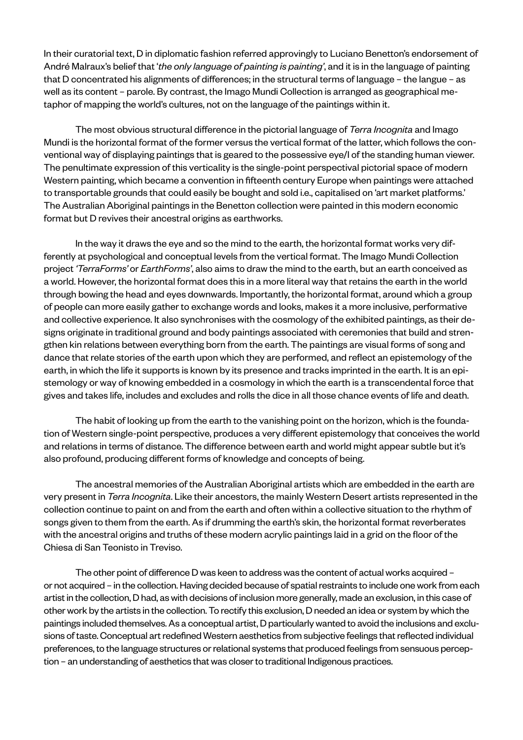In their curatorial text, D in diplomatic fashion referred approvingly to Luciano Benetton's endorsement of André Malraux's belief that '*the only language of painting is painting'*, and it is in the language of painting that D concentrated his alignments of differences; in the structural terms of language – the langue – as well as its content – parole. By contrast, the Imago Mundi Collection is arranged as geographical metaphor of mapping the world's cultures, not on the language of the paintings within it.

The most obvious structural difference in the pictorial language of *Terra Incognita* and Imago Mundi is the horizontal format of the former versus the vertical format of the latter, which follows the conventional way of displaying paintings that is geared to the possessive eye/I of the standing human viewer. The penultimate expression of this verticality is the single-point perspectival pictorial space of modern Western painting, which became a convention in fifteenth century Europe when paintings were attached to transportable grounds that could easily be bought and sold i.e., capitalised on 'art market platforms.' The Australian Aboriginal paintings in the Benetton collection were painted in this modern economic format but D revives their ancestral origins as earthworks.

In the way it draws the eye and so the mind to the earth, the horizontal format works very differently at psychological and conceptual levels from the vertical format. The Imago Mundi Collection project *'TerraForms'* or *EarthForms'*, also aims to draw the mind to the earth, but an earth conceived as a world. However, the horizontal format does this in a more literal way that retains the earth in the world through bowing the head and eyes downwards. Importantly, the horizontal format, around which a group of people can more easily gather to exchange words and looks, makes it a more inclusive, performative and collective experience. It also synchronises with the cosmology of the exhibited paintings, as their designs originate in traditional ground and body paintings associated with ceremonies that build and strengthen kin relations between everything born from the earth. The paintings are visual forms of song and dance that relate stories of the earth upon which they are performed, and reflect an epistemology of the earth, in which the life it supports is known by its presence and tracks imprinted in the earth. It is an epistemology or way of knowing embedded in a cosmology in which the earth is a transcendental force that gives and takes life, includes and excludes and rolls the dice in all those chance events of life and death.

The habit of looking up from the earth to the vanishing point on the horizon, which is the foundation of Western single-point perspective, produces a very different epistemology that conceives the world and relations in terms of distance. The difference between earth and world might appear subtle but it's also profound, producing different forms of knowledge and concepts of being.

The ancestral memories of the Australian Aboriginal artists which are embedded in the earth are very present in *Terra Incognita*. Like their ancestors, the mainly Western Desert artists represented in the collection continue to paint on and from the earth and often within a collective situation to the rhythm of songs given to them from the earth. As if drumming the earth's skin, the horizontal format reverberates with the ancestral origins and truths of these modern acrylic paintings laid in a grid on the floor of the Chiesa di San Teonisto in Treviso.

The other point of difference D was keen to address was the content of actual works acquired – or not acquired – in the collection. Having decided because of spatial restraints to include one work from each artist in the collection, D had, as with decisions of inclusion more generally, made an exclusion, in this case of other work by the artists in the collection. To rectify this exclusion, D needed an idea or system by which the paintings included themselves. As a conceptual artist, D particularly wanted to avoid the inclusions and exclusions of taste. Conceptual art redefined Western aesthetics from subjective feelings that reflected individual preferences, to the language structures or relational systems that produced feelings from sensuous perception – an understanding of aesthetics that was closer to traditional Indigenous practices.